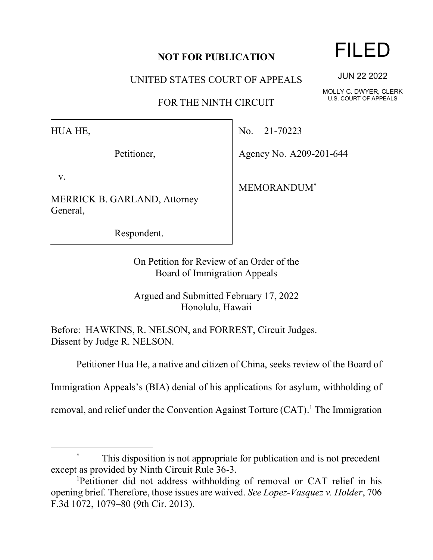## **NOT FOR PUBLICATION**

UNITED STATES COURT OF APPEALS

FOR THE NINTH CIRCUIT

HUA HE,

Petitioner,

v.

MERRICK B. GARLAND, Attorney General,

Respondent.

No. 21-70223

Agency No. A209-201-644

MEMORANDUM\*

On Petition for Review of an Order of the Board of Immigration Appeals

Argued and Submitted February 17, 2022 Honolulu, Hawaii

Before: HAWKINS, R. NELSON, and FORREST, Circuit Judges. Dissent by Judge R. NELSON.

Petitioner Hua He, a native and citizen of China, seeks review of the Board of

Immigration Appeals's (BIA) denial of his applications for asylum, withholding of

removal, and relief under the Convention Against Torture (CAT).<sup>1</sup> The Immigration

## FILED

JUN 22 2022

MOLLY C. DWYER, CLERK U.S. COURT OF APPEALS

<sup>\*</sup> This disposition is not appropriate for publication and is not precedent except as provided by Ninth Circuit Rule 36-3.

<sup>1</sup>Petitioner did not address withholding of removal or CAT relief in his opening brief. Therefore, those issues are waived. *See Lopez-Vasquez v. Holder*, 706 F.3d 1072, 1079–80 (9th Cir. 2013).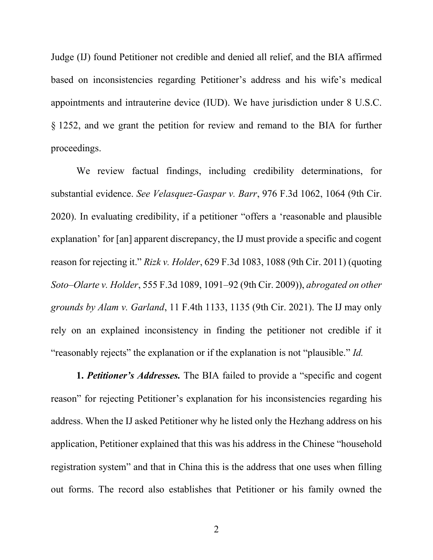Judge (IJ) found Petitioner not credible and denied all relief, and the BIA affirmed based on inconsistencies regarding Petitioner's address and his wife's medical appointments and intrauterine device (IUD). We have jurisdiction under 8 U.S.C. § 1252, and we grant the petition for review and remand to the BIA for further proceedings.

We review factual findings, including credibility determinations, for substantial evidence. *See Velasquez-Gaspar v. Barr*, 976 F.3d 1062, 1064 (9th Cir. 2020). In evaluating credibility, if a petitioner "offers a 'reasonable and plausible explanation' for [an] apparent discrepancy, the IJ must provide a specific and cogent reason for rejecting it." *Rizk v. Holder*, 629 F.3d 1083, 1088 (9th Cir. 2011) (quoting *Soto–Olarte v. Holder*, 555 F.3d 1089, 1091–92 (9th Cir. 2009)), *abrogated on other grounds by Alam v. Garland*, 11 F.4th 1133, 1135 (9th Cir. 2021). The IJ may only rely on an explained inconsistency in finding the petitioner not credible if it "reasonably rejects" the explanation or if the explanation is not "plausible." *Id.*

**1.** *Petitioner's Addresses.* The BIA failed to provide a "specific and cogent reason" for rejecting Petitioner's explanation for his inconsistencies regarding his address. When the IJ asked Petitioner why he listed only the Hezhang address on his application, Petitioner explained that this was his address in the Chinese "household registration system" and that in China this is the address that one uses when filling out forms. The record also establishes that Petitioner or his family owned the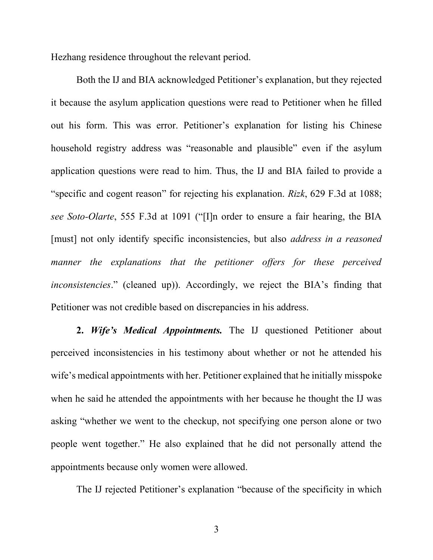Hezhang residence throughout the relevant period.

Both the IJ and BIA acknowledged Petitioner's explanation, but they rejected it because the asylum application questions were read to Petitioner when he filled out his form. This was error. Petitioner's explanation for listing his Chinese household registry address was "reasonable and plausible" even if the asylum application questions were read to him. Thus, the IJ and BIA failed to provide a "specific and cogent reason" for rejecting his explanation. *Rizk*, 629 F.3d at 1088; *see Soto-Olarte*, 555 F.3d at 1091 ("[I]n order to ensure a fair hearing, the BIA [must] not only identify specific inconsistencies, but also *address in a reasoned manner the explanations that the petitioner offers for these perceived inconsistencies*." (cleaned up)). Accordingly, we reject the BIA's finding that Petitioner was not credible based on discrepancies in his address.

**2.** *Wife's Medical Appointments.* The IJ questioned Petitioner about perceived inconsistencies in his testimony about whether or not he attended his wife's medical appointments with her. Petitioner explained that he initially misspoke when he said he attended the appointments with her because he thought the IJ was asking "whether we went to the checkup, not specifying one person alone or two people went together." He also explained that he did not personally attend the appointments because only women were allowed.

The IJ rejected Petitioner's explanation "because of the specificity in which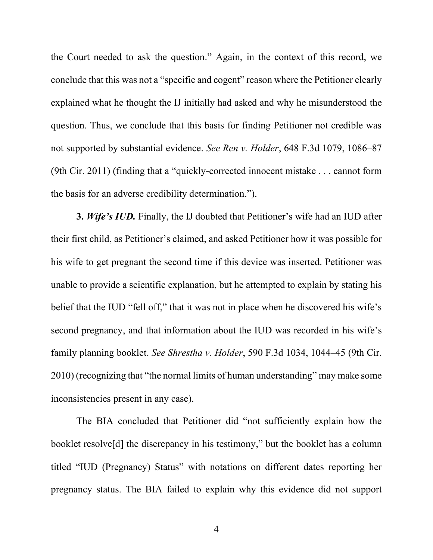the Court needed to ask the question." Again, in the context of this record, we conclude that this was not a "specific and cogent" reason where the Petitioner clearly explained what he thought the IJ initially had asked and why he misunderstood the question. Thus, we conclude that this basis for finding Petitioner not credible was not supported by substantial evidence. *See Ren v. Holder*, 648 F.3d 1079, 1086–87 (9th Cir. 2011) (finding that a "quickly-corrected innocent mistake . . . cannot form the basis for an adverse credibility determination.").

**3.** *Wife's IUD.* Finally, the IJ doubted that Petitioner's wife had an IUD after their first child, as Petitioner's claimed, and asked Petitioner how it was possible for his wife to get pregnant the second time if this device was inserted. Petitioner was unable to provide a scientific explanation, but he attempted to explain by stating his belief that the IUD "fell off," that it was not in place when he discovered his wife's second pregnancy, and that information about the IUD was recorded in his wife's family planning booklet. *See Shrestha v. Holder*, 590 F.3d 1034, 1044–45 (9th Cir. 2010) (recognizing that "the normal limits of human understanding" may make some inconsistencies present in any case).

The BIA concluded that Petitioner did "not sufficiently explain how the booklet resolve[d] the discrepancy in his testimony," but the booklet has a column titled "IUD (Pregnancy) Status" with notations on different dates reporting her pregnancy status. The BIA failed to explain why this evidence did not support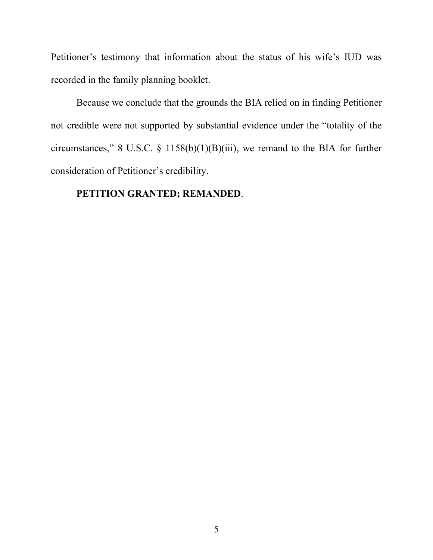Petitioner's testimony that information about the status of his wife's IUD was recorded in the family planning booklet.

Because we conclude that the grounds the BIA relied on in finding Petitioner not credible were not supported by substantial evidence under the "totality of the circumstances," 8 U.S.C. § 1158(b)(1)(B)(iii), we remand to the BIA for further consideration of Petitioner's credibility.

## **PETITION GRANTED; REMANDED**.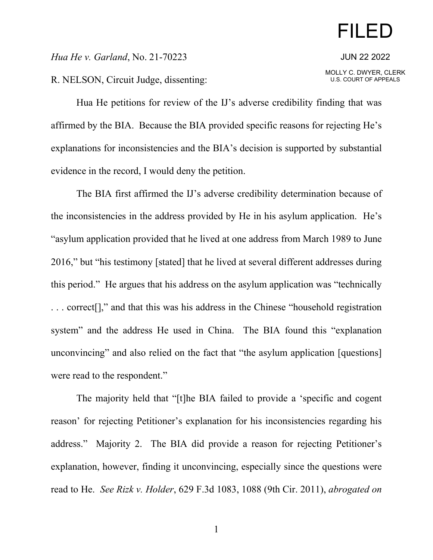## FILED

JUN 22 2022

MOLLY C. DWYER, CLERK U.S. COURT OF APPEALS

*Hua He v. Garland*, No. 21-70223

R. NELSON, Circuit Judge, dissenting:

Hua He petitions for review of the IJ's adverse credibility finding that was affirmed by the BIA. Because the BIA provided specific reasons for rejecting He's explanations for inconsistencies and the BIA's decision is supported by substantial evidence in the record, I would deny the petition.

The BIA first affirmed the IJ's adverse credibility determination because of the inconsistencies in the address provided by He in his asylum application. He's "asylum application provided that he lived at one address from March 1989 to June 2016," but "his testimony [stated] that he lived at several different addresses during this period." He argues that his address on the asylum application was "technically . . . correct[]," and that this was his address in the Chinese "household registration system" and the address He used in China. The BIA found this "explanation unconvincing" and also relied on the fact that "the asylum application [questions] were read to the respondent."

The majority held that "[t]he BIA failed to provide a 'specific and cogent reason' for rejecting Petitioner's explanation for his inconsistencies regarding his address." Majority 2. The BIA did provide a reason for rejecting Petitioner's explanation, however, finding it unconvincing, especially since the questions were read to He. *See Rizk v. Holder*, 629 F.3d 1083, 1088 (9th Cir. 2011), *abrogated on*